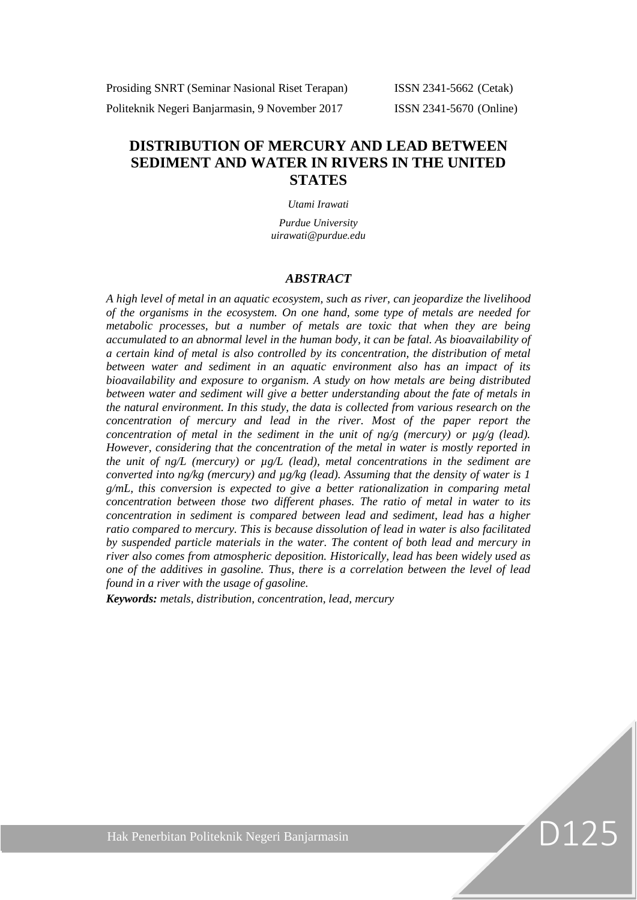Prosiding SNRT (Seminar Nasional Riset Terapan) ISSN 2341-5662 (Cetak) Politeknik Negeri Banjarmasin, 9 November 2017 ISSN 2341-5670 (Online)

D125

# **DISTRIBUTION OF MERCURY AND LEAD BETWEEN SEDIMENT AND WATER IN RIVERS IN THE UNITED STATES**

#### *Utami Irawati*

*Purdue University uirawati@purdue.edu*

#### *ABSTRACT*

*A high level of metal in an aquatic ecosystem, such as river, can jeopardize the livelihood of the organisms in the ecosystem. On one hand, some type of metals are needed for metabolic processes, but a number of metals are toxic that when they are being accumulated to an abnormal level in the human body, it can be fatal. As bioavailability of a certain kind of metal is also controlled by its concentration, the distribution of metal between water and sediment in an aquatic environment also has an impact of its bioavailability and exposure to organism. A study on how metals are being distributed between water and sediment will give a better understanding about the fate of metals in the natural environment. In this study, the data is collected from various research on the concentration of mercury and lead in the river. Most of the paper report the concentration of metal in the sediment in the unit of ng/g (mercury) or*  $\mu$ *g/g (lead). However, considering that the concentration of the metal in water is mostly reported in the unit of ng/L (mercury) or µg/L (lead), metal concentrations in the sediment are converted into ng/kg (mercury) and µg/kg (lead). Assuming that the density of water is 1 g/mL, this conversion is expected to give a better rationalization in comparing metal concentration between those two different phases. The ratio of metal in water to its concentration in sediment is compared between lead and sediment, lead has a higher ratio compared to mercury. This is because dissolution of lead in water is also facilitated by suspended particle materials in the water. The content of both lead and mercury in river also comes from atmospheric deposition. Historically, lead has been widely used as one of the additives in gasoline. Thus, there is a correlation between the level of lead found in a river with the usage of gasoline.*

*Keywords: metals, distribution, concentration, lead, mercury*

Hak Penerbitan Politeknik Negeri Banjarmasin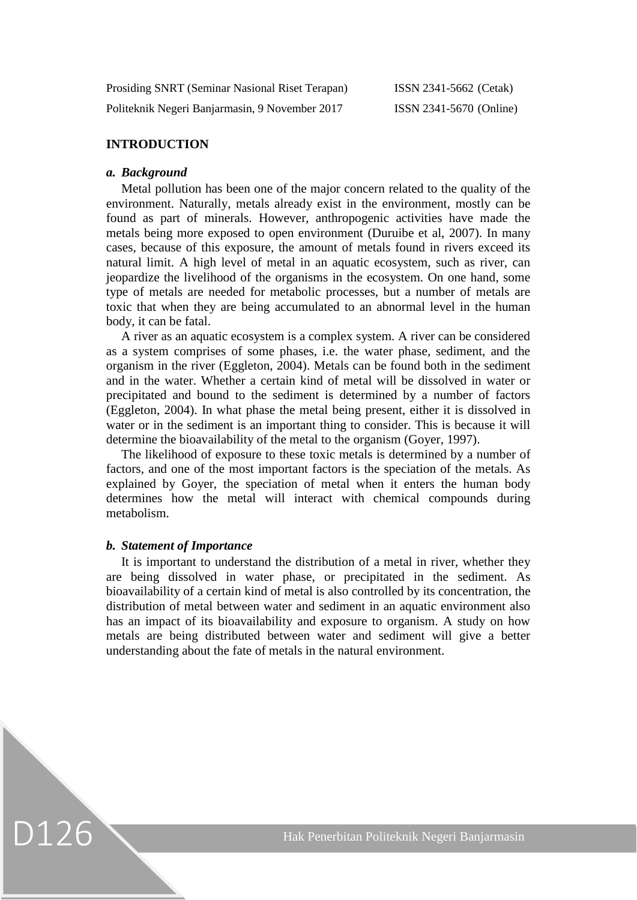| Prosiding SNRT (Seminar Nasional Riset Terapan) | ISSN 2341-5662 (Cetak)  |
|-------------------------------------------------|-------------------------|
| Politeknik Negeri Banjarmasin, 9 November 2017  | ISSN 2341-5670 (Online) |

# **INTRODUCTION**

# *a. Background*

Metal pollution has been one of the major concern related to the quality of the environment. Naturally, metals already exist in the environment, mostly can be found as part of minerals. However, anthropogenic activities have made the metals being more exposed to open environment (Duruibe et al, 2007). In many cases, because of this exposure, the amount of metals found in rivers exceed its natural limit. A high level of metal in an aquatic ecosystem, such as river, can jeopardize the livelihood of the organisms in the ecosystem. On one hand, some type of metals are needed for metabolic processes, but a number of metals are toxic that when they are being accumulated to an abnormal level in the human body, it can be fatal.

A river as an aquatic ecosystem is a complex system. A river can be considered as a system comprises of some phases, i.e. the water phase, sediment, and the organism in the river (Eggleton, 2004). Metals can be found both in the sediment and in the water. Whether a certain kind of metal will be dissolved in water or precipitated and bound to the sediment is determined by a number of factors (Eggleton, 2004). In what phase the metal being present, either it is dissolved in water or in the sediment is an important thing to consider. This is because it will determine the bioavailability of the metal to the organism (Goyer, 1997).

The likelihood of exposure to these toxic metals is determined by a number of factors, and one of the most important factors is the speciation of the metals. As explained by Goyer, the speciation of metal when it enters the human body determines how the metal will interact with chemical compounds during metabolism.

#### *b. Statement of Importance*

D126

It is important to understand the distribution of a metal in river, whether they are being dissolved in water phase, or precipitated in the sediment. As bioavailability of a certain kind of metal is also controlled by its concentration, the distribution of metal between water and sediment in an aquatic environment also has an impact of its bioavailability and exposure to organism. A study on how metals are being distributed between water and sediment will give a better understanding about the fate of metals in the natural environment.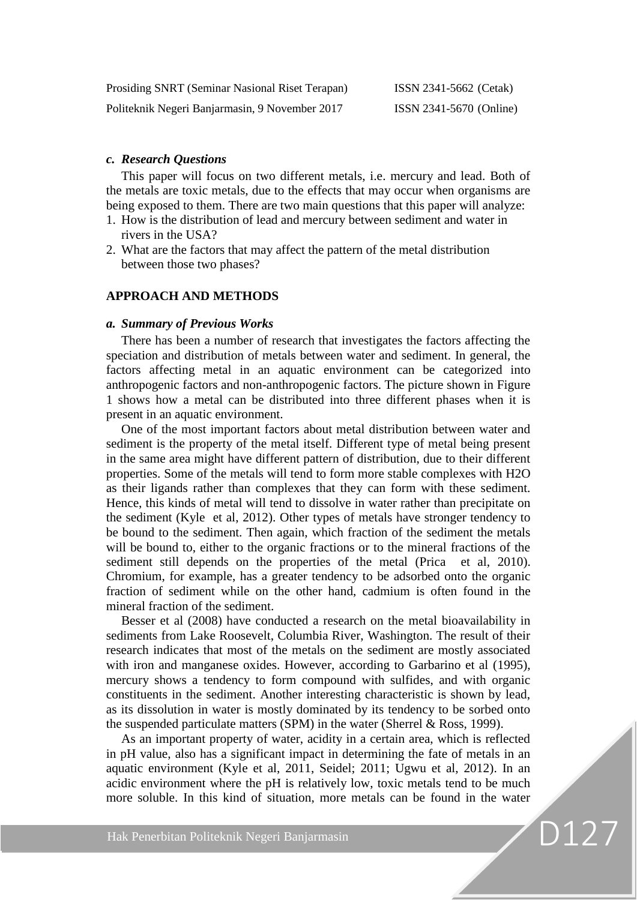| Prosiding SNRT (Seminar Nasional Riset Terapan) | ISSN 2341-5662 (Cetak)         |
|-------------------------------------------------|--------------------------------|
| Politeknik Negeri Banjarmasin, 9 November 2017  | <b>ISSN 2341-5670 (Online)</b> |

# *c. Research Questions*

This paper will focus on two different metals, i.e. mercury and lead. Both of the metals are toxic metals, due to the effects that may occur when organisms are being exposed to them. There are two main questions that this paper will analyze:

- 1. How is the distribution of lead and mercury between sediment and water in rivers in the USA?
- 2. What are the factors that may affect the pattern of the metal distribution between those two phases?

# **APPROACH AND METHODS**

#### *a. Summary of Previous Works*

There has been a number of research that investigates the factors affecting the speciation and distribution of metals between water and sediment. In general, the factors affecting metal in an aquatic environment can be categorized into anthropogenic factors and non-anthropogenic factors. The picture shown in Figure 1 shows how a metal can be distributed into three different phases when it is present in an aquatic environment.

One of the most important factors about metal distribution between water and sediment is the property of the metal itself. Different type of metal being present in the same area might have different pattern of distribution, due to their different properties. Some of the metals will tend to form more stable complexes with H2O as their ligands rather than complexes that they can form with these sediment. Hence, this kinds of metal will tend to dissolve in water rather than precipitate on the sediment (Kyle et al, 2012). Other types of metals have stronger tendency to be bound to the sediment. Then again, which fraction of the sediment the metals will be bound to, either to the organic fractions or to the mineral fractions of the sediment still depends on the properties of the metal (Prica et al, 2010). Chromium, for example, has a greater tendency to be adsorbed onto the organic fraction of sediment while on the other hand, cadmium is often found in the mineral fraction of the sediment.

Besser et al (2008) have conducted a research on the metal bioavailability in sediments from Lake Roosevelt, Columbia River, Washington. The result of their research indicates that most of the metals on the sediment are mostly associated with iron and manganese oxides. However, according to Garbarino et al (1995), mercury shows a tendency to form compound with sulfides, and with organic constituents in the sediment. Another interesting characteristic is shown by lead, as its dissolution in water is mostly dominated by its tendency to be sorbed onto the suspended particulate matters (SPM) in the water (Sherrel & Ross, 1999).

As an important property of water, acidity in a certain area, which is reflected in pH value, also has a significant impact in determining the fate of metals in an aquatic environment (Kyle et al, 2011, Seidel; 2011; Ugwu et al, 2012). In an acidic environment where the pH is relatively low, toxic metals tend to be much more soluble. In this kind of situation, more metals can be found in the water

D12<sup>7</sup>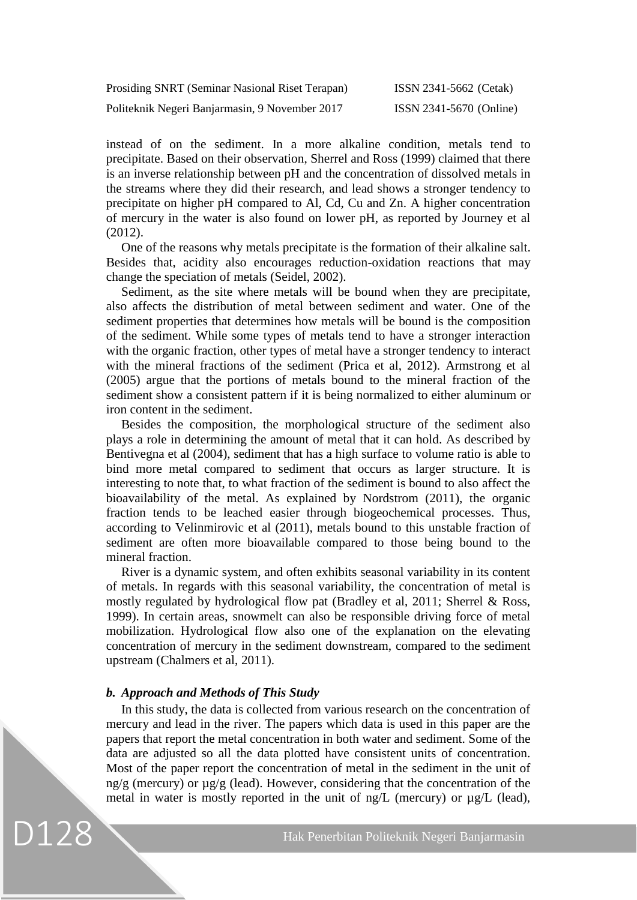| Prosiding SNRT (Seminar Nasional Riset Terapan) | ISSN 2341-5662 (Cetak)  |
|-------------------------------------------------|-------------------------|
| Politeknik Negeri Banjarmasin, 9 November 2017  | ISSN 2341-5670 (Online) |

instead of on the sediment. In a more alkaline condition, metals tend to precipitate. Based on their observation, Sherrel and Ross (1999) claimed that there is an inverse relationship between pH and the concentration of dissolved metals in the streams where they did their research, and lead shows a stronger tendency to precipitate on higher pH compared to Al, Cd, Cu and Zn. A higher concentration of mercury in the water is also found on lower pH, as reported by Journey et al (2012).

One of the reasons why metals precipitate is the formation of their alkaline salt. Besides that, acidity also encourages reduction-oxidation reactions that may change the speciation of metals (Seidel, 2002).

Sediment, as the site where metals will be bound when they are precipitate, also affects the distribution of metal between sediment and water. One of the sediment properties that determines how metals will be bound is the composition of the sediment. While some types of metals tend to have a stronger interaction with the organic fraction, other types of metal have a stronger tendency to interact with the mineral fractions of the sediment (Prica et al, 2012). Armstrong et al (2005) argue that the portions of metals bound to the mineral fraction of the sediment show a consistent pattern if it is being normalized to either aluminum or iron content in the sediment.

Besides the composition, the morphological structure of the sediment also plays a role in determining the amount of metal that it can hold. As described by Bentivegna et al (2004), sediment that has a high surface to volume ratio is able to bind more metal compared to sediment that occurs as larger structure. It is interesting to note that, to what fraction of the sediment is bound to also affect the bioavailability of the metal. As explained by Nordstrom (2011), the organic fraction tends to be leached easier through biogeochemical processes. Thus, according to Velinmirovic et al (2011), metals bound to this unstable fraction of sediment are often more bioavailable compared to those being bound to the mineral fraction.

River is a dynamic system, and often exhibits seasonal variability in its content of metals. In regards with this seasonal variability, the concentration of metal is mostly regulated by hydrological flow pat (Bradley et al, 2011; Sherrel & Ross, 1999). In certain areas, snowmelt can also be responsible driving force of metal mobilization. Hydrological flow also one of the explanation on the elevating concentration of mercury in the sediment downstream, compared to the sediment upstream (Chalmers et al, 2011).

# *b. Approach and Methods of This Study*

D128

In this study, the data is collected from various research on the concentration of mercury and lead in the river. The papers which data is used in this paper are the papers that report the metal concentration in both water and sediment. Some of the data are adjusted so all the data plotted have consistent units of concentration. Most of the paper report the concentration of metal in the sediment in the unit of  $ng/g$  (mercury) or  $\mu g/g$  (lead). However, considering that the concentration of the metal in water is mostly reported in the unit of ng/L (mercury) or µg/L (lead),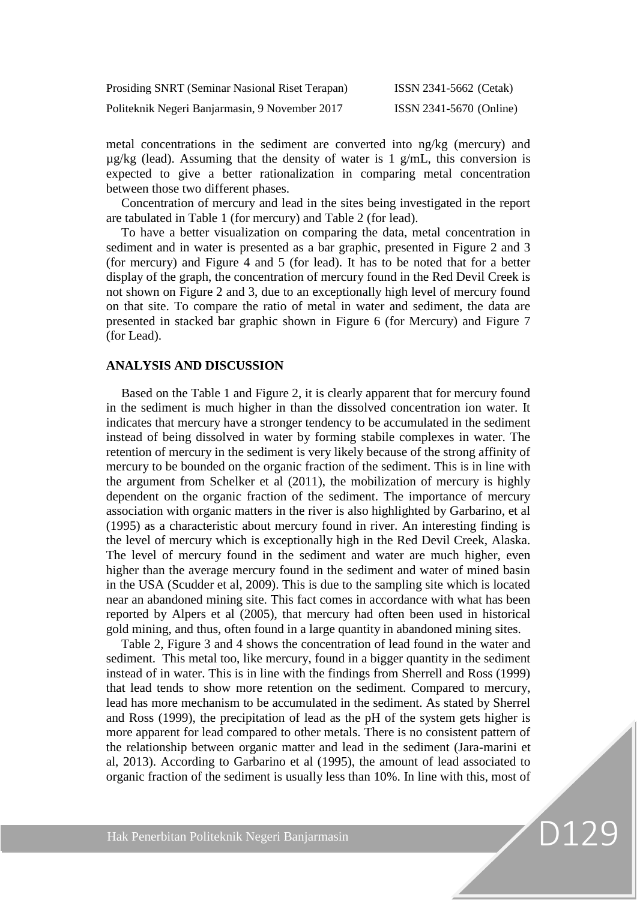| Prosiding SNRT (Seminar Nasional Riset Terapan) | ISSN 2341-5662 (Cetak)  |
|-------------------------------------------------|-------------------------|
| Politeknik Negeri Banjarmasin, 9 November 2017  | ISSN 2341-5670 (Online) |

metal concentrations in the sediment are converted into ng/kg (mercury) and  $\mu$ g/kg (lead). Assuming that the density of water is 1 g/mL, this conversion is expected to give a better rationalization in comparing metal concentration between those two different phases.

Concentration of mercury and lead in the sites being investigated in the report are tabulated in Table 1 (for mercury) and Table 2 (for lead).

To have a better visualization on comparing the data, metal concentration in sediment and in water is presented as a bar graphic, presented in Figure 2 and 3 (for mercury) and Figure 4 and 5 (for lead). It has to be noted that for a better display of the graph, the concentration of mercury found in the Red Devil Creek is not shown on Figure 2 and 3, due to an exceptionally high level of mercury found on that site. To compare the ratio of metal in water and sediment, the data are presented in stacked bar graphic shown in Figure 6 (for Mercury) and Figure 7 (for Lead).

# **ANALYSIS AND DISCUSSION**

Based on the Table 1 and Figure 2, it is clearly apparent that for mercury found in the sediment is much higher in than the dissolved concentration ion water. It indicates that mercury have a stronger tendency to be accumulated in the sediment instead of being dissolved in water by forming stabile complexes in water. The retention of mercury in the sediment is very likely because of the strong affinity of mercury to be bounded on the organic fraction of the sediment. This is in line with the argument from Schelker et al (2011), the mobilization of mercury is highly dependent on the organic fraction of the sediment. The importance of mercury association with organic matters in the river is also highlighted by Garbarino, et al (1995) as a characteristic about mercury found in river. An interesting finding is the level of mercury which is exceptionally high in the Red Devil Creek, Alaska. The level of mercury found in the sediment and water are much higher, even higher than the average mercury found in the sediment and water of mined basin in the USA (Scudder et al, 2009). This is due to the sampling site which is located near an abandoned mining site. This fact comes in accordance with what has been reported by Alpers et al (2005), that mercury had often been used in historical gold mining, and thus, often found in a large quantity in abandoned mining sites.

Table 2, Figure 3 and 4 shows the concentration of lead found in the water and sediment. This metal too, like mercury, found in a bigger quantity in the sediment instead of in water. This is in line with the findings from Sherrell and Ross (1999) that lead tends to show more retention on the sediment. Compared to mercury, lead has more mechanism to be accumulated in the sediment. As stated by Sherrel and Ross (1999), the precipitation of lead as the pH of the system gets higher is more apparent for lead compared to other metals. There is no consistent pattern of the relationship between organic matter and lead in the sediment (Jara-marini et al, 2013). According to Garbarino et al (1995), the amount of lead associated to organic fraction of the sediment is usually less than 10%. In line with this, most of

D129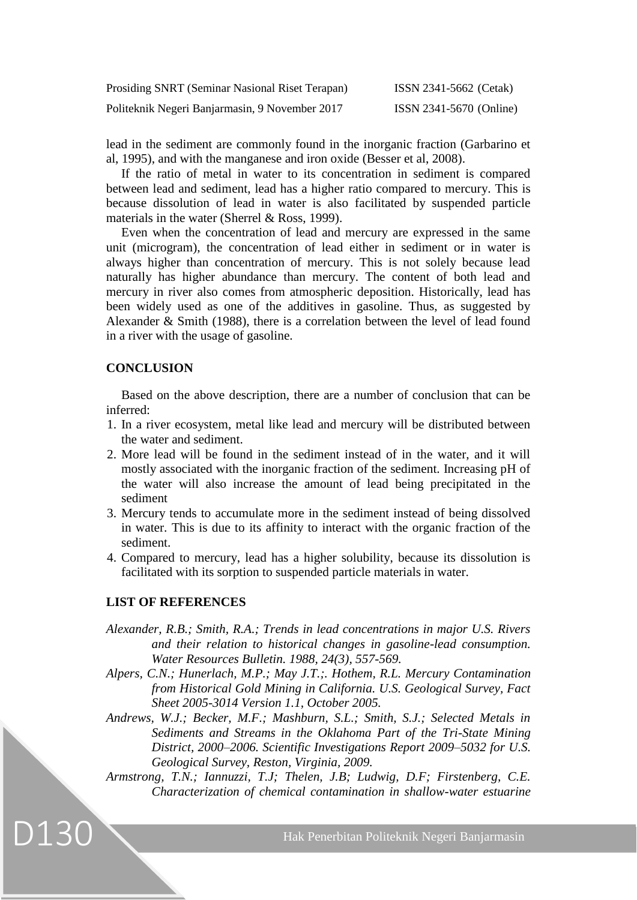| Prosiding SNRT (Seminar Nasional Riset Terapan) | ISSN 2341-5662 (Cetak)  |
|-------------------------------------------------|-------------------------|
| Politeknik Negeri Banjarmasin, 9 November 2017  | ISSN 2341-5670 (Online) |

lead in the sediment are commonly found in the inorganic fraction (Garbarino et al, 1995), and with the manganese and iron oxide (Besser et al, 2008).

If the ratio of metal in water to its concentration in sediment is compared between lead and sediment, lead has a higher ratio compared to mercury. This is because dissolution of lead in water is also facilitated by suspended particle materials in the water (Sherrel & Ross, 1999).

Even when the concentration of lead and mercury are expressed in the same unit (microgram), the concentration of lead either in sediment or in water is always higher than concentration of mercury. This is not solely because lead naturally has higher abundance than mercury. The content of both lead and mercury in river also comes from atmospheric deposition. Historically, lead has been widely used as one of the additives in gasoline. Thus, as suggested by Alexander & Smith (1988), there is a correlation between the level of lead found in a river with the usage of gasoline.

# **CONCLUSION**

Based on the above description, there are a number of conclusion that can be inferred:

- 1. In a river ecosystem, metal like lead and mercury will be distributed between the water and sediment.
- 2. More lead will be found in the sediment instead of in the water, and it will mostly associated with the inorganic fraction of the sediment. Increasing pH of the water will also increase the amount of lead being precipitated in the sediment
- 3. Mercury tends to accumulate more in the sediment instead of being dissolved in water. This is due to its affinity to interact with the organic fraction of the sediment.
- 4. Compared to mercury, lead has a higher solubility, because its dissolution is facilitated with its sorption to suspended particle materials in water.

# **LIST OF REFERENCES**

D130

- *Alexander, R.B.; Smith, R.A.; Trends in lead concentrations in major U.S. Rivers and their relation to historical changes in gasoline-lead consumption. Water Resources Bulletin. 1988, 24(3), 557-569.*
- *Alpers, C.N.; Hunerlach, M.P.; May J.T.;. Hothem, R.L. Mercury Contamination from Historical Gold Mining in California. U.S. Geological Survey, Fact Sheet 2005-3014 Version 1.1, October 2005.*
- *Andrews, W.J.; Becker, M.F.; Mashburn, S.L.; Smith, S.J.; Selected Metals in Sediments and Streams in the Oklahoma Part of the Tri-State Mining District, 2000–2006. Scientific Investigations Report 2009–5032 for U.S. Geological Survey, Reston, Virginia, 2009.*
- *Armstrong, T.N.; Iannuzzi, T.J; Thelen, J.B; Ludwig, D.F; Firstenberg, C.E. Characterization of chemical contamination in shallow-water estuarine*

Hak Penerbitan Politeknik Negeri Banjarmasin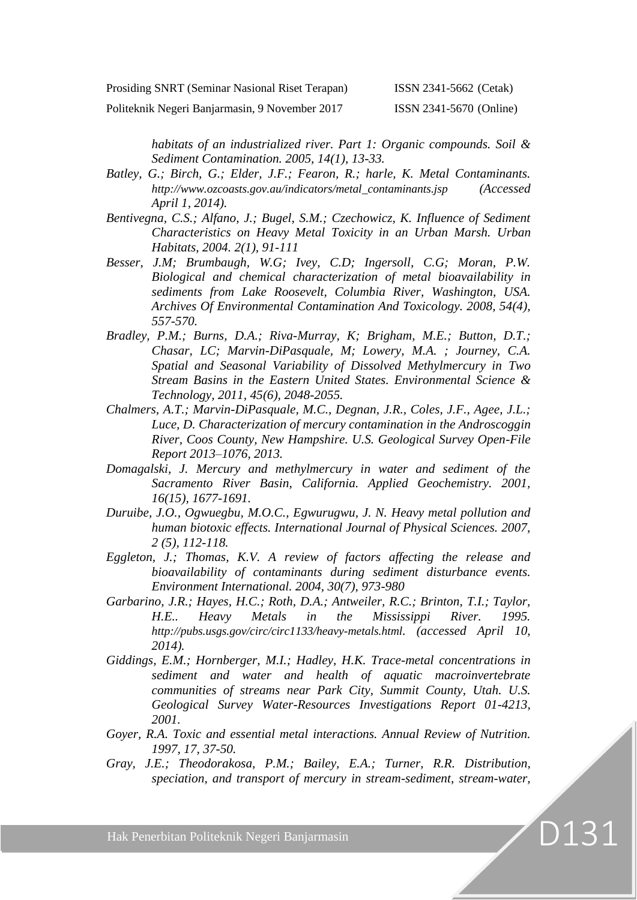Prosiding SNRT (Seminar Nasional Riset Terapan) ISSN 2341-5662 (Cetak)

Politeknik Negeri Banjarmasin, 9 November 2017 ISSN 2341-5670 (Online)

D131

*habitats of an industrialized river. Part 1: Organic compounds. Soil & Sediment Contamination. 2005, 14(1), 13-33.*

- *Batley, G.; Birch, G.; Elder, J.F.; Fearon, R.; harle, K. Metal Contaminants. [http://www.ozcoasts.gov.au/indicators/metal\\_contaminants.jsp](http://www.ozcoasts.gov.au/indicators/metal_contaminants.jsp) (Accessed April 1, 2014).*
- *Bentivegna, C.S.; Alfano, J.; Bugel, S.M.; Czechowicz, K. Influence of Sediment Characteristics on Heavy Metal Toxicity in an Urban Marsh. Urban Habitats, 2004. 2(1), 91-111*
- *Besser, J.M; Brumbaugh, W.G; Ivey, C.D; Ingersoll, C.G; Moran, P.W. Biological and chemical characterization of metal bioavailability in sediments from Lake Roosevelt, Columbia River, Washington, USA. Archives Of Environmental Contamination And Toxicology. 2008, 54(4), 557-570.*
- *Bradley, P.M.; Burns, D.A.; Riva-Murray, K; Brigham, M.E.; Button, D.T.; Chasar, LC; Marvin-DiPasquale, M; Lowery, M.A. ; Journey, C.A. Spatial and Seasonal Variability of Dissolved Methylmercury in Two Stream Basins in the Eastern United States. Environmental Science & Technology, 2011, 45(6), 2048-2055.*
- *Chalmers, A.T.; Marvin-DiPasquale, M.C., Degnan, J.R., Coles, J.F., Agee, J.L.; Luce, D. Characterization of mercury contamination in the Androscoggin River, Coos County, New Hampshire. U.S. Geological Survey Open-File Report 2013–1076, 2013.*
- *Domagalski, J. Mercury and methylmercury in water and sediment of the Sacramento River Basin, California. Applied Geochemistry. 2001, 16(15), 1677-1691.*
- *Duruibe, J.O., Ogwuegbu, M.O.C., Egwurugwu, J. N. Heavy metal pollution and human biotoxic effects. International Journal of Physical Sciences. 2007, 2 (5), 112-118.*
- *Eggleton, J.; Thomas, K.V. A review of factors affecting the release and bioavailability of contaminants during sediment disturbance events. Environment International. 2004, 30(7), 973-980*
- *Garbarino, J.R.; Hayes, H.C.; Roth, D.A.; Antweiler, R.C.; Brinton, T.I.; Taylor, H.E.. Heavy Metals in the Mississippi River. 1995. <http://pubs.usgs.gov/circ/circ1133/heavy-metals.html>. (accessed April 10, 2014).*
- *Giddings, E.M.; Hornberger, M.I.; Hadley, H.K. Trace-metal concentrations in sediment and water and health of aquatic macroinvertebrate communities of streams near Park City, Summit County, Utah. U.S. Geological Survey Water-Resources Investigations Report 01-4213, 2001.*
- *Goyer, R.A. Toxic and essential metal interactions. Annual Review of Nutrition. 1997, 17, 37-50.*
- *Gray, J.E.; Theodorakosa, P.M.; Bailey, E.A.; Turner, R.R. Distribution, speciation, and transport of mercury in stream-sediment, stream-water,*

Hak Penerbitan Politeknik Negeri Banjarmasin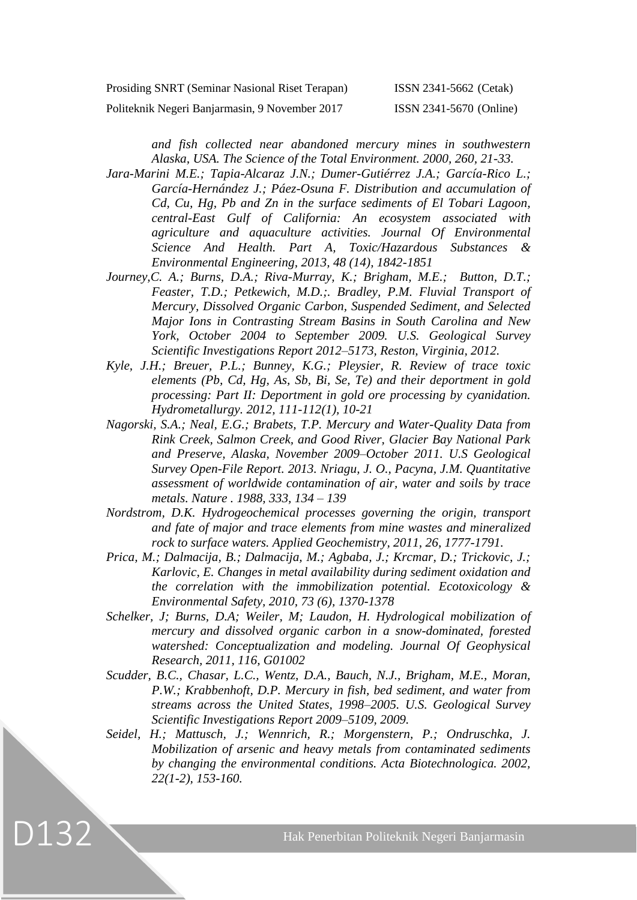| Prosiding SNRT (Seminar Nasional Riset Terapan) |  |  |  |  |
|-------------------------------------------------|--|--|--|--|
|-------------------------------------------------|--|--|--|--|

ISSN 2341-5662 (Cetak)

Politeknik Negeri Banjarmasin, 9 November 2017 ISSN 2341-5670 (Online)

*and fish collected near abandoned mercury mines in southwestern Alaska, USA. The Science of the Total Environment. 2000, 260, 21-33.*

- *Jara-Marini M.E.; Tapia-Alcaraz J.N.; Dumer-Gutiérrez J.A.; García-Rico L.; García-Hernández J.; Páez-Osuna F. Distribution and accumulation of Cd, Cu, Hg, Pb and Zn in the surface sediments of El Tobari Lagoon, central-East Gulf of California: An ecosystem associated with agriculture and aquaculture activities. Journal Of Environmental Science And Health. Part A, Toxic/Hazardous Substances & Environmental Engineering, 2013, 48 (14), 1842-1851*
- *Journey,C. A.; Burns, D.A.; Riva-Murray, K.; Brigham, M.E.; Button, D.T.; Feaster, T.D.; Petkewich, M.D.;. Bradley, P.M. Fluvial Transport of Mercury, Dissolved Organic Carbon, Suspended Sediment, and Selected Major Ions in Contrasting Stream Basins in South Carolina and New York, October 2004 to September 2009. U.S. Geological Survey Scientific Investigations Report 2012–5173, Reston, Virginia, 2012.*
- *Kyle, J.H.; Breuer, P.L.; Bunney, K.G.; Pleysier, R. Review of trace toxic elements (Pb, Cd, Hg, As, Sb, Bi, Se, Te) and their deportment in gold processing: Part II: Deportment in gold ore processing by cyanidation. Hydrometallurgy. 2012, 111-112(1), 10-21*
- *Nagorski, S.A.; Neal, E.G.; Brabets, T.P. Mercury and Water-Quality Data from Rink Creek, Salmon Creek, and Good River, Glacier Bay National Park and Preserve, Alaska, November 2009–October 2011. U.S Geological Survey Open-File Report. 2013. Nriagu, J. O., Pacyna, J.M. Quantitative assessment of worldwide contamination of air, water and soils by trace metals. Nature . 1988, 333, 134 – 139*
- *Nordstrom, D.K. Hydrogeochemical processes governing the origin, transport and fate of major and trace elements from mine wastes and mineralized rock to surface waters. Applied Geochemistry, 2011, 26, 1777-1791.*
- *Prica, M.; Dalmacija, B.; Dalmacija, M.; Agbaba, J.; Krcmar, D.; Trickovic, J.; Karlovic, E. Changes in metal availability during sediment oxidation and the correlation with the immobilization potential. Ecotoxicology & Environmental Safety, 2010, 73 (6), 1370-1378*
- *Schelker, J; Burns, D.A; Weiler, M; Laudon, H. Hydrological mobilization of mercury and dissolved organic carbon in a snow-dominated, forested watershed: Conceptualization and modeling. Journal Of Geophysical Research, 2011, 116, G01002*
- *Scudder, B.C., Chasar, L.C., Wentz, D.A., Bauch, N.J., Brigham, M.E., Moran, P.W.; Krabbenhoft, D.P. Mercury in fish, bed sediment, and water from streams across the United States, 1998–2005. U.S. Geological Survey Scientific Investigations Report 2009–5109, 2009.*
- *Seidel, H.; Mattusch, J.; Wennrich, R.; Morgenstern, P.; Ondruschka, J. Mobilization of arsenic and heavy metals from contaminated sediments by changing the environmental conditions. Acta Biotechnologica. 2002, 22(1-2), 153-160.*

D132